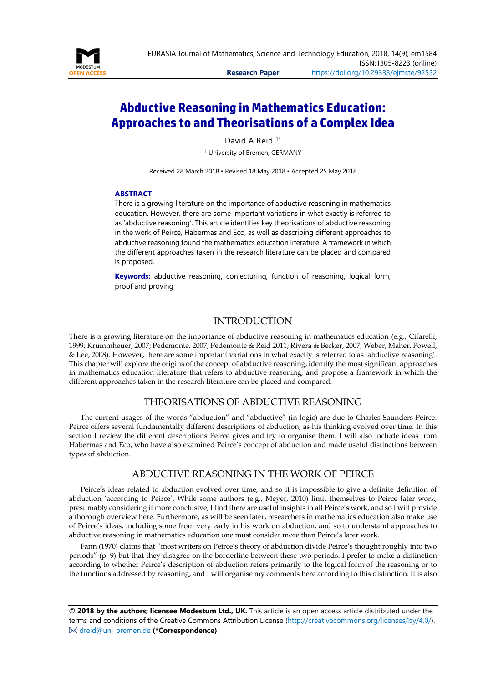

**Abductive Reasoning in Mathematics Education: Approaches to and Theorisations of a Complex Idea**

> David A Reid<sup>1\*</sup> <sup>1</sup> University of Bremen, GERMANY

Received 28 March 2018 ▪ Revised 18 May 2018 ▪ Accepted 25 May 2018

#### **ABSTRACT**

There is a growing literature on the importance of abductive reasoning in mathematics education. However, there are some important variations in what exactly is referred to as 'abductive reasoning'. This article identifies key theorisations of abductive reasoning in the work of Peirce, Habermas and Eco, as well as describing different approaches to abductive reasoning found the mathematics education literature. A framework in which the different approaches taken in the research literature can be placed and compared is proposed.

**Keywords:** abductive reasoning, conjecturing, function of reasoning, logical form, proof and proving

#### INTRODUCTION

There is a growing literature on the importance of abductive reasoning in mathematics education (e.g., Cifarelli, 1999; Krummheuer, 2007; Pedemonte, 2007; Pedemonte & Reid 2011; Rivera & Becker, 2007; Weber, Maher, Powell, & Lee, 2008). However, there are some important variations in what exactly is referred to as 'abductive reasoning'. This chapter will explore the origins of the concept of abductive reasoning, identify the most significant approaches in mathematics education literature that refers to abductive reasoning, and propose a framework in which the different approaches taken in the research literature can be placed and compared.

#### THEORISATIONS OF ABDUCTIVE REASONING

The current usages of the words "abduction" and "abductive" (in logic) are due to Charles Saunders Peirce. Peirce offers several fundamentally different descriptions of abduction, as his thinking evolved over time. In this section I review the different descriptions Peirce gives and try to organise them. I will also include ideas from Habermas and Eco, who have also examined Peirce's concept of abduction and made useful distinctions between types of abduction.

### ABDUCTIVE REASONING IN THE WORK OF PEIRCE

Peirce's ideas related to abduction evolved over time, and so it is impossible to give a definite definition of abduction 'according to Peirce'. While some authors (e.g., Meyer, 2010) limit themselves to Peirce later work, presumably considering it more conclusive, I find there are useful insights in all Peirce's work, and so I will provide a thorough overview here. Furthermore, as will be seen later, researchers in mathematics education also make use of Peirce's ideas, including some from very early in his work on abduction, and so to understand approaches to abductive reasoning in mathematics education one must consider more than Peirce's later work.

Fann (1970) claims that "most writers on Peirce's theory of abduction divide Peirce's thought roughly into two periods" (p. 9) but that they disagree on the borderline between these two periods. I prefer to make a distinction according to whether Peirce's description of abduction refers primarily to the logical form of the reasoning or to the functions addressed by reasoning, and I will organise my comments here according to this distinction. It is also

**© 2018 by the authors; licensee Modestum Ltd., UK.** This article is an open access article distributed under the terms and conditions of the Creative Commons Attribution License [\(http://creativecommons.org/licenses/by/4.0/\)](http://creativecommons.org/licenses/by/4.0/). [dreid@uni-bremen.de](mailto:dreid@uni-bremen.de) **(\*Correspondence)**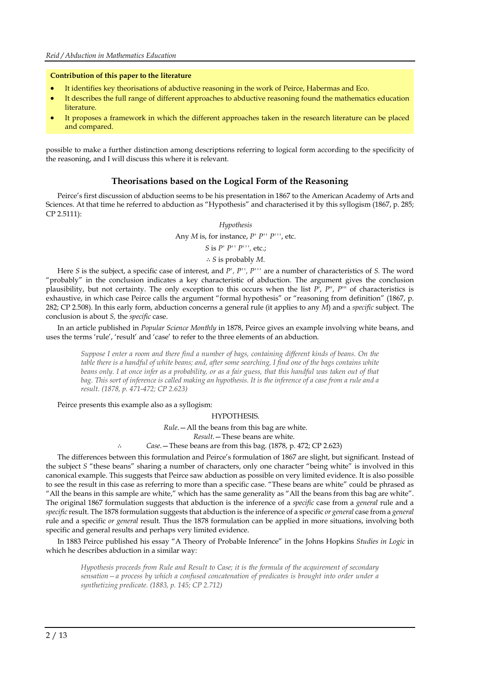#### **Contribution of this paper to the literature**

- It identifies key theorisations of abductive reasoning in the work of Peirce, Habermas and Eco.
- It describes the full range of different approaches to abductive reasoning found the mathematics education literature.
- It proposes a framework in which the different approaches taken in the research literature can be placed and compared.

possible to make a further distinction among descriptions referring to logical form according to the specificity of the reasoning, and I will discuss this where it is relevant.

#### **Theorisations based on the Logical Form of the Reasoning**

Peirce's first discussion of abduction seems to be his presentation in 1867 to the American Academy of Arts and Sciences. At that time he referred to abduction as "Hypothesis" and characterised it by this syllogism (1867, p. 285; CP 2.5111):

*Hypothesis*

Any *M* is, for instance, *P' P'' P'''*, etc.

*S* is *P' P'' P''',* etc.;

#### ∴ *S* is probably *M*.

Here *S* is the subject, a specific case of interest, and *P', P'', P'''* are a number of characteristics of *S.* The word "probably" in the conclusion indicates a key characteristic of abduction. The argument gives the conclusion plausibility, but not certainty. The only exception to this occurs when the list *P*', *P*'', *P*''' of characteristics is exhaustive, in which case Peirce calls the argument "formal hypothesis" or "reasoning from definition" (1867, p. 282; CP 2.508). In this early form, abduction concerns a general rule (it applies to any *M*) and a *specific* subject. The conclusion is about *S,* the *specific* case.

In an article published in *Popular Science Monthly* in 1878, Peirce gives an example involving white beans, and uses the terms 'rule', 'result' and 'case' to refer to the three elements of an abduction.

*Suppose I enter a room and there find a number of bags, containing different kinds of beans. On the table there is a handful of white beans; and, after some searching, I find one of the bags contains white beans only. I at once infer as a probability, or as a fair guess, that this handful was taken out of that bag. This sort of inference is called making an hypothesis. It is the inference of a case from a rule and a result. (1878, p. 471-472; CP 2.623)*

Peirce presents this example also as a syllogism:

#### HYPOTHESIS.

*Rule*.—All the beans from this bag are white.

*Result*.—These beans are white.

∴ *Case*.—These beans are from this bag. (1878, p. 472; CP 2.623)

The differences between this formulation and Peirce's formulation of 1867 are slight, but significant. Instead of the subject *S* "these beans" sharing a number of characters, only one character "being white" is involved in this canonical example. This suggests that Peirce saw abduction as possible on very limited evidence. It is also possible to see the result in this case as referring to more than a specific case. "These beans are white" could be phrased as "All the beans in this sample are white," which has the same generality as "All the beans from this bag are white". The original 1867 formulation suggests that abduction is the inference of a *specific* case from a *general* rule and a *specific* result. The 1878 formulation suggests that abduction is the inference of a specific *or general* case from a *general* rule and a specific *or general* result. Thus the 1878 formulation can be applied in more situations, involving both specific and general results and perhaps very limited evidence.

In 1883 Peirce published his essay "A Theory of Probable Inference" in the Johns Hopkins *Studies in Logic* in which he describes abduction in a similar way:

*Hypothesis proceeds from Rule and Result to Case; it is the formula of the acquirement of secondary sensation—a process by which a confused concatenation of predicates is brought into order under a synthetizing predicate. (1883, p. 145; CP 2.712)*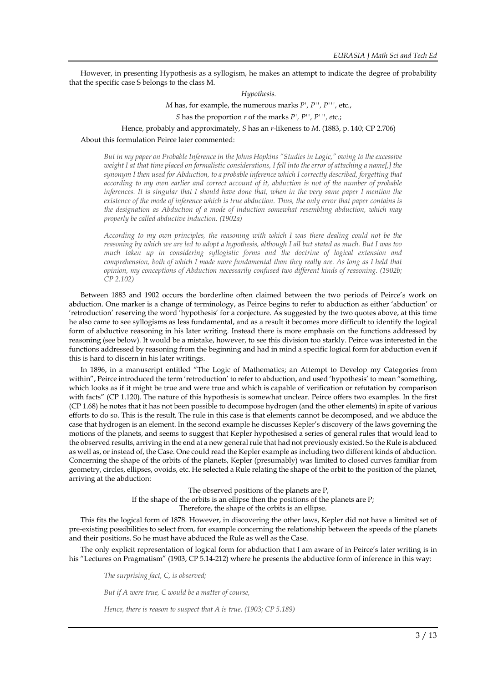However, in presenting Hypothesis as a syllogism, he makes an attempt to indicate the degree of probability that the specific case S belongs to the class M.

#### *Hypothesis.*

*M* has, for example, the numerous marks *P', P'', P''',* etc.,

*S* has the proportion *r* of the marks *P', P'', P''', e*tc.;

#### Hence, probably and approximately, *S* has an *r*-likeness to *M*. (1883, p. 140; CP 2.706)

#### About this formulation Peirce later commented:

*But in my paper on Probable Inference in the Johns Hopkins "Studies in Logic," owing to the excessive weight I at that time placed on formalistic considerations, I fell into the error of attaching a name[,] the synonym I then used for Abduction, to a probable inference which I correctly described, forgetting that according to my own earlier and correct account of it, abduction is not of the number of probable*  inferences. It is singular that I should have done that, when in the very same paper I mention the *existence of the mode of inference which is true abduction. Thus, the only error that paper contains is the designation as Abduction of a mode of induction somewhat resembling abduction, which may properly be called abductive induction. (1902a)*

*According to my own principles, the reasoning with which I was there dealing could not be the reasoning by which we are led to adopt a hypothesis, although I all but stated as much. But I was too much taken up in considering syllogistic forms and the doctrine of logical extension and comprehension, both of which I made more fundamental than they really are. As long as I held that opinion, my conceptions of Abduction necessarily confused two different kinds of reasoning. (1902b; CP 2.102)*

Between 1883 and 1902 occurs the borderline often claimed between the two periods of Peirce's work on abduction. One marker is a change of terminology, as Peirce begins to refer to abduction as either 'abduction' or 'retroduction' reserving the word 'hypothesis' for a conjecture. As suggested by the two quotes above, at this time he also came to see syllogisms as less fundamental, and as a result it becomes more difficult to identify the logical form of abductive reasoning in his later writing. Instead there is more emphasis on the functions addressed by reasoning (see below). It would be a mistake, however, to see this division too starkly. Peirce was interested in the functions addressed by reasoning from the beginning and had in mind a specific logical form for abduction even if this is hard to discern in his later writings.

In 1896, in a manuscript entitled "The Logic of Mathematics; an Attempt to Develop my Categories from within", Peirce introduced the term 'retroduction' to refer to abduction, and used 'hypothesis' to mean "something, which looks as if it might be true and were true and which is capable of verification or refutation by comparison with facts" (CP 1.120). The nature of this hypothesis is somewhat unclear. Peirce offers two examples. In the first (CP 1.68) he notes that it has not been possible to decompose hydrogen (and the other elements) in spite of various efforts to do so. This is the result. The rule in this case is that elements cannot be decomposed, and we abduce the case that hydrogen is an element. In the second example he discusses Kepler's discovery of the laws governing the motions of the planets, and seems to suggest that Kepler hypothesised a series of general rules that would lead to the observed results, arriving in the end at a new general rule that had not previously existed. So the Rule is abduced as well as, or instead of, the Case. One could read the Kepler example as including two different kinds of abduction. Concerning the shape of the orbits of the planets, Kepler (presumably) was limited to closed curves familiar from geometry, circles, ellipses, ovoids, etc. He selected a Rule relating the shape of the orbit to the position of the planet, arriving at the abduction:

The observed positions of the planets are P,

If the shape of the orbits is an ellipse then the positions of the planets are P; Therefore, the shape of the orbits is an ellipse.

This fits the logical form of 1878. However, in discovering the other laws, Kepler did not have a limited set of pre-existing possibilities to select from, for example concerning the relationship between the speeds of the planets and their positions. So he must have abduced the Rule as well as the Case.

The only explicit representation of logical form for abduction that I am aware of in Peirce's later writing is in his "Lectures on Pragmatism" (1903, CP 5.14-212) where he presents the abductive form of inference in this way:

*The surprising fact, C, is observed;*

*But if A were true, C would be a matter of course,*

*Hence, there is reason to suspect that A is true. (1903; CP 5.189)*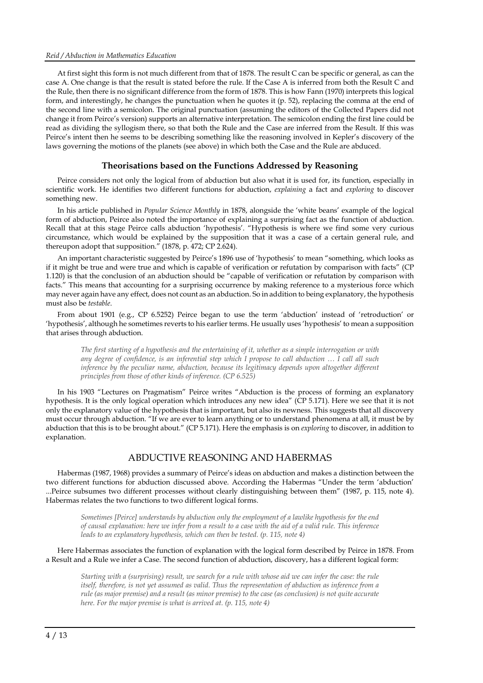At first sight this form is not much different from that of 1878. The result C can be specific or general, as can the case A. One change is that the result is stated before the rule. If the Case A is inferred from both the Result C and the Rule, then there is no significant difference from the form of 1878. This is how Fann (1970) interprets this logical form, and interestingly, he changes the punctuation when he quotes it (p. 52), replacing the comma at the end of the second line with a semicolon. The original punctuation (assuming the editors of the Collected Papers did not change it from Peirce's version) supports an alternative interpretation. The semicolon ending the first line could be read as dividing the syllogism there, so that both the Rule and the Case are inferred from the Result. If this was Peirce's intent then he seems to be describing something like the reasoning involved in Kepler's discovery of the laws governing the motions of the planets (see above) in which both the Case and the Rule are abduced.

#### **Theorisations based on the Functions Addressed by Reasoning**

Peirce considers not only the logical from of abduction but also what it is used for, its function, especially in scientific work. He identifies two different functions for abduction, *explaining* a fact and *exploring* to discover something new.

In his article published in *Popular Science Monthly* in 1878, alongside the 'white beans' example of the logical form of abduction, Peirce also noted the importance of explaining a surprising fact as the function of abduction. Recall that at this stage Peirce calls abduction 'hypothesis'. "Hypothesis is where we find some very curious circumstance, which would be explained by the supposition that it was a case of a certain general rule, and thereupon adopt that supposition." (1878, p. 472; CP 2.624).

An important characteristic suggested by Peirce's 1896 use of 'hypothesis' to mean "something, which looks as if it might be true and were true and which is capable of verification or refutation by comparison with facts" (CP 1.120) is that the conclusion of an abduction should be "capable of verification or refutation by comparison with facts." This means that accounting for a surprising occurrence by making reference to a mysterious force which may never again have any effect, does not count as an abduction. So in addition to being explanatory, the hypothesis must also be *testable*.

From about 1901 (e.g., CP 6.5252) Peirce began to use the term 'abduction' instead of 'retroduction' or 'hypothesis', although he sometimes reverts to his earlier terms. He usually uses 'hypothesis' to mean a supposition that arises through abduction.

*The first starting of a hypothesis and the entertaining of it, whether as a simple interrogation or with any degree of confidence, is an inferential step which I propose to call abduction … I call all such inference by the peculiar name, abduction, because its legitimacy depends upon altogether different principles from those of other kinds of inference. (CP 6.525)*

In his 1903 "Lectures on Pragmatism" Peirce writes "Abduction is the process of forming an explanatory hypothesis. It is the only logical operation which introduces any new idea" (CP 5.171). Here we see that it is not only the explanatory value of the hypothesis that is important, but also its newness. This suggests that all discovery must occur through abduction. "If we are ever to learn anything or to understand phenomena at all, it must be by abduction that this is to be brought about." (CP 5.171). Here the emphasis is on *exploring* to discover, in addition to explanation.

#### ABDUCTIVE REASONING AND HABERMAS

Habermas (1987, 1968) provides a summary of Peirce's ideas on abduction and makes a distinction between the two different functions for abduction discussed above. According the Habermas "Under the term 'abduction' ...Peirce subsumes two different processes without clearly distinguishing between them" (1987, p. 115, note 4). Habermas relates the two functions to two different logical forms.

*Sometimes [Peirce] understands by abduction only the employment of a lawlike hypothesis for the end of causal explanation: here we infer from a result to a case with the aid of a valid rule. This inference leads to an explanatory hypothesis, which can then be tested. (p. 115, note 4)*

Here Habermas associates the function of explanation with the logical form described by Peirce in 1878. From a Result and a Rule we infer a Case. The second function of abduction, discovery, has a different logical form:

*Starting with a (surprising) result, we search for a rule with whose aid we can infer the case: the rule itself, therefore, is not yet assumed as valid. Thus the representation of abduction as inference from a rule (as major premise) and a result (as minor premise) to the case (as conclusion) is not quite accurate here. For the major premise is what is arrived at. (p. 115, note 4)*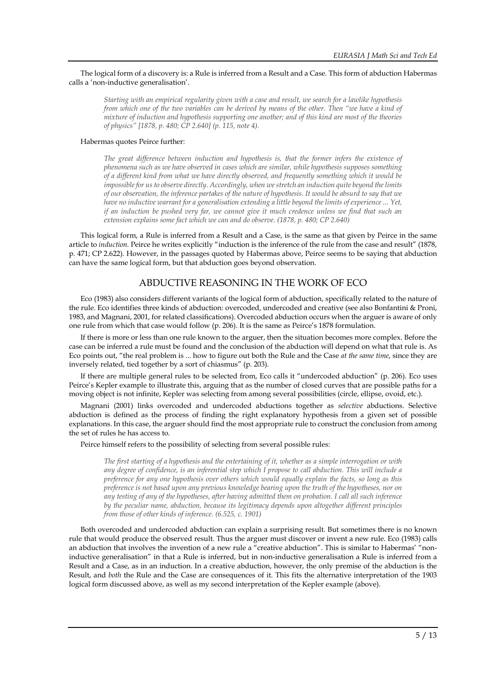#### The logical form of a discovery is: a Rule is inferred from a Result and a Case. This form of abduction Habermas calls a 'non-inductive generalisation'.

*Starting with an empirical regularity given with a case and result, we search for a lawlike hypothesis from which one of the two variables can be derived by means of the other. Then "we have a kind of mixture of induction and hypothesis supporting one another; and of this kind are most of the theories of physics" [1878, p. 480; CP 2.640] (p. 115, note 4).* 

#### Habermas quotes Peirce further:

*The great difference between induction and hypothesis is, that the former infers the existence of phenomena such as we have observed in cases which are similar, while hypothesis supposes something of a different kind from what we have directly observed, and frequently something which it would be impossible for us to observe directly. Accordingly, when we stretch an induction quite beyond the limits of our observation, the inference partakes of the nature of hypothesis. It would be absurd to say that we have no inductive warrant for a generalisation extending a little beyond the limits of experience ... Yet, if an induction be pushed very far, we cannot give it much credence unless we find that such an extension explains some fact which we can and do observe. (1878, p. 480; CP 2.640)*

This logical form, a Rule is inferred from a Result and a Case, is the same as that given by Peirce in the same article to *induction.* Peirce he writes explicitly "induction is the inference of the rule from the case and result" (1878, p. 471; CP 2.622). However, in the passages quoted by Habermas above, Peirce seems to be saying that abduction can have the same logical form, but that abduction goes beyond observation.

## ABDUCTIVE REASONING IN THE WORK OF ECO

Eco (1983) also considers different variants of the logical form of abduction, specifically related to the nature of the rule. Eco identifies three kinds of abduction: overcoded, undercoded and creative (see also Bonfantini & Proni, 1983, and Magnani, 2001, for related classifications). Overcoded abduction occurs when the arguer is aware of only one rule from which that case would follow (p. 206). It is the same as Peirce's 1878 formulation.

If there is more or less than one rule known to the arguer, then the situation becomes more complex. Before the case can be inferred a rule must be found and the conclusion of the abduction will depend on what that rule is. As Eco points out, "the real problem is ... how to figure out both the Rule and the Case *at the same time*, since they are inversely related, tied together by a sort of chiasmus" (p. 203).

If there are multiple general rules to be selected from, Eco calls it "undercoded abduction" (p. 206). Eco uses Peirce's Kepler example to illustrate this, arguing that as the number of closed curves that are possible paths for a moving object is not infinite, Kepler was selecting from among several possibilities (circle, ellipse, ovoid, etc.).

Magnani (2001) links overcoded and undercoded abductions together as *selective* abductions. Selective abduction is defined as the process of finding the right explanatory hypothesis from a given set of possible explanations. In this case, the arguer should find the most appropriate rule to construct the conclusion from among the set of rules he has access to.

Peirce himself refers to the possibility of selecting from several possible rules:

*The first starting of a hypothesis and the entertaining of it, whether as a simple interrogation or with any degree of confidence, is an inferential step which I propose to call abduction. This will include a preference for any one hypothesis over others which would equally explain the facts, so long as this preference is not based upon any previous knowledge bearing upon the truth of the hypotheses, nor on any testing of any of the hypotheses, after having admitted them on probation. I call all such inference by the peculiar name, abduction, because its legitimacy depends upon altogether different principles from those of other kinds of inference. (6.525, c. 1901)*

Both overcoded and undercoded abduction can explain a surprising result. But sometimes there is no known rule that would produce the observed result. Thus the arguer must discover or invent a new rule. Eco (1983) calls an abduction that involves the invention of a new rule a "creative abduction". This is similar to Habermas' "noninductive generalisation" in that a Rule is inferred, but in non-inductive generalisation a Rule is inferred from a Result and a Case, as in an induction. In a creative abduction, however, the only premise of the abduction is the Result, and *both* the Rule and the Case are consequences of it. This fits the alternative interpretation of the 1903 logical form discussed above, as well as my second interpretation of the Kepler example (above).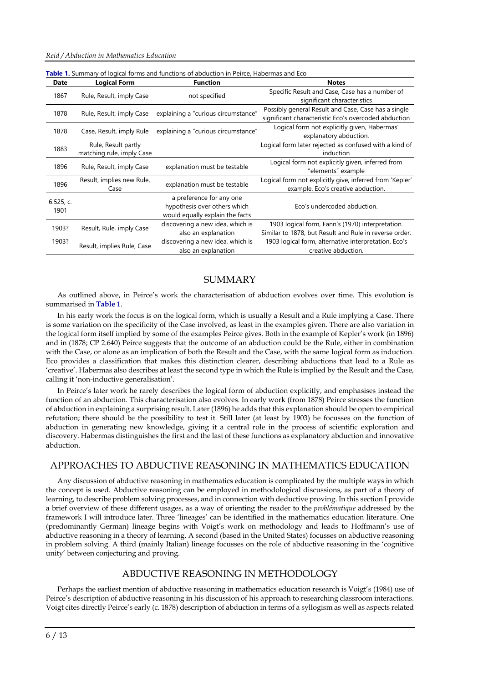| <b>Date</b>       | <b>Logical Form</b>                              | <b>Function</b>                                                                             | <b>Notes</b>                                                                                                |  |
|-------------------|--------------------------------------------------|---------------------------------------------------------------------------------------------|-------------------------------------------------------------------------------------------------------------|--|
| 1867              | Rule, Result, imply Case                         | not specified                                                                               | Specific Result and Case, Case has a number of<br>significant characteristics                               |  |
| 1878              | Rule, Result, imply Case                         | explaining a "curious circumstance"                                                         | Possibly general Result and Case, Case has a single<br>significant characteristic Eco's overcoded abduction |  |
| 1878              | Case, Result, imply Rule                         | explaining a "curious circumstance"                                                         | Logical form not explicitly given, Habermas'<br>explanatory abduction.                                      |  |
| 1883              | Rule, Result partly<br>matching rule, imply Case |                                                                                             | Logical form later rejected as confused with a kind of<br>induction                                         |  |
| 1896              | Rule, Result, imply Case                         | explanation must be testable                                                                | Logical form not explicitly given, inferred from<br>"elements" example                                      |  |
| 1896              | Result, implies new Rule,<br>Case                | explanation must be testable                                                                | Logical form not explicitly give, inferred from 'Kepler'<br>example. Eco's creative abduction.              |  |
| 6.525, c.<br>1901 |                                                  | a preference for any one<br>hypothesis over others which<br>would equally explain the facts | Eco's undercoded abduction.                                                                                 |  |
| 1903?             | Result, Rule, imply Case                         | discovering a new idea, which is<br>also an explanation                                     | 1903 logical form, Fann's (1970) interpretation.<br>Similar to 1878, but Result and Rule in reverse order.  |  |
| 1903?             | Result, implies Rule, Case                       | discovering a new idea, which is<br>also an explanation                                     | 1903 logical form, alternative interpretation. Eco's<br>creative abduction.                                 |  |

**Table 1.** Summary of logical forms and functions of abduction in Peirce, Habermas and Eco

### **SUMMARY**

As outlined above, in Peirce's work the characterisation of abduction evolves over time. This evolution is summarised in **Table 1**.

In his early work the focus is on the logical form, which is usually a Result and a Rule implying a Case. There is some variation on the specificity of the Case involved, as least in the examples given. There are also variation in the logical form itself implied by some of the examples Peirce gives. Both in the example of Kepler's work (in 1896) and in (1878; CP 2.640) Peirce suggests that the outcome of an abduction could be the Rule, either in combination with the Case, or alone as an implication of both the Result and the Case, with the same logical form as induction. Eco provides a classification that makes this distinction clearer, describing abductions that lead to a Rule as 'creative'. Habermas also describes at least the second type in which the Rule is implied by the Result and the Case, calling it 'non-inductive generalisation'.

In Peirce's later work he rarely describes the logical form of abduction explicitly, and emphasises instead the function of an abduction. This characterisation also evolves. In early work (from 1878) Peirce stresses the function of abduction in explaining a surprising result. Later (1896) he adds that this explanation should be open to empirical refutation; there should be the possibility to test it. Still later (at least by 1903) he focusses on the function of abduction in generating new knowledge, giving it a central role in the process of scientific exploration and discovery. Habermas distinguishes the first and the last of these functions as explanatory abduction and innovative abduction.

### APPROACHES TO ABDUCTIVE REASONING IN MATHEMATICS EDUCATION

Any discussion of abductive reasoning in mathematics education is complicated by the multiple ways in which the concept is used. Abductive reasoning can be employed in methodological discussions, as part of a theory of learning, to describe problem solving processes, and in connection with deductive proving. In this section I provide a brief overview of these different usages, as a way of orienting the reader to the *problématique* addressed by the framework I will introduce later. Three 'lineages' can be identified in the mathematics education literature. One (predominantly German) lineage begins with Voigt's work on methodology and leads to Hoffmann's use of abductive reasoning in a theory of learning. A second (based in the United States) focusses on abductive reasoning in problem solving. A third (mainly Italian) lineage focusses on the role of abductive reasoning in the 'cognitive unity' between conjecturing and proving.

#### ABDUCTIVE REASONING IN METHODOLOGY

Perhaps the earliest mention of abductive reasoning in mathematics education research is Voigt's (1984) use of Peirce's description of abductive reasoning in his discussion of his approach to researching classroom interactions. Voigt cites directly Peirce's early (c. 1878) description of abduction in terms of a syllogism as well as aspects related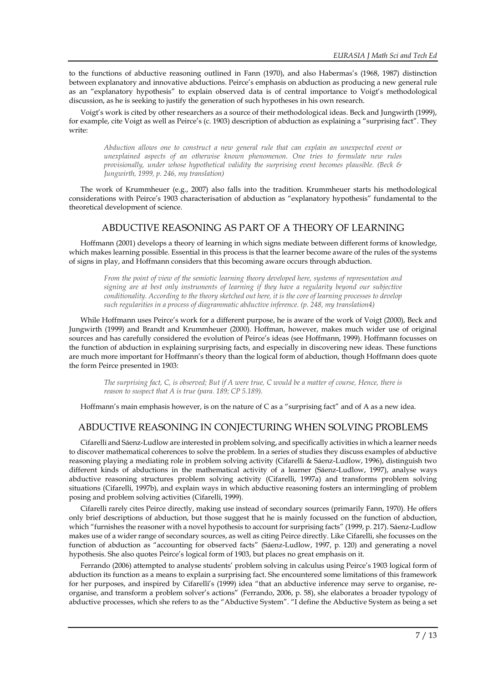to the functions of abductive reasoning outlined in Fann (1970), and also Habermas's (1968, 1987) distinction between explanatory and innovative abductions. Peirce's emphasis on abduction as producing a new general rule as an "explanatory hypothesis" to explain observed data is of central importance to Voigt's methodological discussion, as he is seeking to justify the generation of such hypotheses in his own research.

Voigt's work is cited by other researchers as a source of their methodological ideas. Beck and Jungwirth (1999), for example, cite Voigt as well as Peirce's (c. 1903) description of abduction as explaining a "surprising fact". They write:

*Abduction allows one to construct a new general rule that can explain an unexpected event or unexplained aspects of an otherwise known phenomenon. One tries to formulate new rules provisionally, under whose hypothetical validity the surprising event becomes plausible. (Beck & Jungwirth, 1999, p. 246, my translation)*

The work of Krummheuer (e.g., 2007) also falls into the tradition. Krummheuer starts his methodological considerations with Peirce's 1903 characterisation of abduction as "explanatory hypothesis" fundamental to the theoretical development of science.

### ABDUCTIVE REASONING AS PART OF A THEORY OF LEARNING

Hoffmann (2001) develops a theory of learning in which signs mediate between different forms of knowledge, which makes learning possible. Essential in this process is that the learner become aware of the rules of the systems of signs in play, and Hoffmann considers that this becoming aware occurs through abduction.

*From the point of view of the semiotic learning theory developed here, systems of representation and signing are at best only instruments of learning if they have a regularity beyond our subjective conditionality. According to the theory sketched out here, it is the core of learning processes to develop such regularities in a process of diagrammatic abductive inference. (p. 248, my translation4)*

While Hoffmann uses Peirce's work for a different purpose, he is aware of the work of Voigt (2000), Beck and Jungwirth (1999) and Brandt and Krummheuer (2000). Hoffman, however, makes much wider use of original sources and has carefully considered the evolution of Peirce's ideas (see Hoffmann, 1999). Hoffmann focusses on the function of abduction in explaining surprising facts, and especially in discovering new ideas. These functions are much more important for Hoffmann's theory than the logical form of abduction, though Hoffmann does quote the form Peirce presented in 1903:

*The surprising fact, C, is observed; But if A were true, C would be a matter of course, Hence, there is reason to suspect that A is true (para. 189; CP 5.189).* 

Hoffmann's main emphasis however, is on the nature of C as a "surprising fact" and of A as a new idea.

### ABDUCTIVE REASONING IN CONJECTURING WHEN SOLVING PROBLEMS

Cifarelli and Sáenz-Ludlow are interested in problem solving, and specifically activities in which a learner needs to discover mathematical coherences to solve the problem. In a series of studies they discuss examples of abductive reasoning playing a mediating role in problem solving activity (Cifarelli & Sáenz-Ludlow, 1996), distinguish two different kinds of abductions in the mathematical activity of a learner (Sáenz-Ludlow, 1997), analyse ways abductive reasoning structures problem solving activity (Cifarelli, 1997a) and transforms problem solving situations (Cifarelli, 1997b), and explain ways in which abductive reasoning fosters an intermingling of problem posing and problem solving activities (Cifarelli, 1999).

Cifarelli rarely cites Peirce directly, making use instead of secondary sources (primarily Fann, 1970). He offers only brief descriptions of abduction, but those suggest that he is mainly focussed on the function of abduction, which "furnishes the reasoner with a novel hypothesis to account for surprising facts" (1999, p. 217). Sáenz-Ludlow makes use of a wider range of secondary sources, as well as citing Peirce directly. Like Cifarelli, she focusses on the function of abduction as "accounting for observed facts" (Sáenz-Ludlow, 1997, p. 120) and generating a novel hypothesis. She also quotes Peirce's logical form of 1903, but places no great emphasis on it.

Ferrando (2006) attempted to analyse students' problem solving in calculus using Peirce's 1903 logical form of abduction its function as a means to explain a surprising fact. She encountered some limitations of this framework for her purposes, and inspired by Cifarelli's (1999) idea "that an abductive inference may serve to organise, reorganise, and transform a problem solver's actions" (Ferrando, 2006, p. 58), she elaborates a broader typology of abductive processes, which she refers to as the "Abductive System". "I define the Abductive System as being a set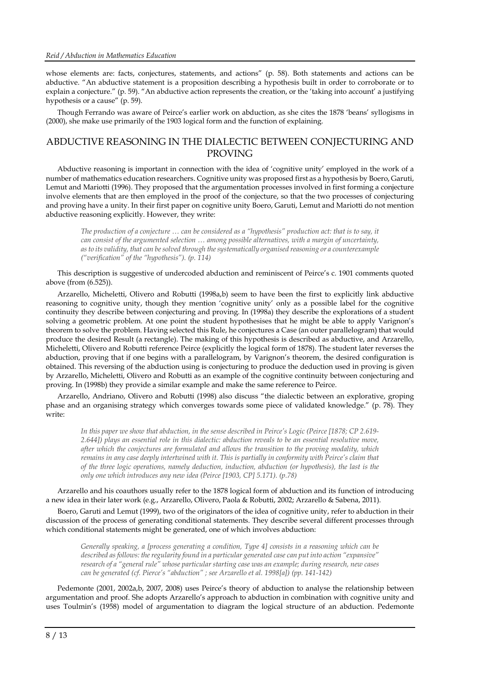whose elements are: facts, conjectures, statements, and actions" (p. 58). Both statements and actions can be abductive. "An abductive statement is a proposition describing a hypothesis built in order to corroborate or to explain a conjecture." (p. 59). "An abductive action represents the creation, or the 'taking into account' a justifying hypothesis or a cause" (p. 59).

Though Ferrando was aware of Peirce's earlier work on abduction, as she cites the 1878 'beans' syllogisms in (2000), she make use primarily of the 1903 logical form and the function of explaining.

### ABDUCTIVE REASONING IN THE DIALECTIC BETWEEN CONJECTURING AND PROVING

Abductive reasoning is important in connection with the idea of 'cognitive unity' employed in the work of a number of mathematics education researchers. Cognitive unity was proposed first as a hypothesis by Boero, Garuti, Lemut and Mariotti (1996). They proposed that the argumentation processes involved in first forming a conjecture involve elements that are then employed in the proof of the conjecture, so that the two processes of conjecturing and proving have a unity. In their first paper on cognitive unity Boero, Garuti, Lemut and Mariotti do not mention abductive reasoning explicitly. However, they write:

*The production of a conjecture … can be considered as a "hypothesis" production act: that is to say, it can consist of the argumented selection … among possible alternatives, with a margin of uncertainty, as to its validity, that can be solved through the systematically organised reasoning or a counterexample ("verification" of the "hypothesis"). (p. 114)*

This description is suggestive of undercoded abduction and reminiscent of Peirce's c. 1901 comments quoted above (from (6.525)).

Arzarello, Micheletti, Olivero and Robutti (1998a,b) seem to have been the first to explicitly link abductive reasoning to cognitive unity, though they mention 'cognitive unity' only as a possible label for the cognitive continuity they describe between conjecturing and proving. In (1998a) they describe the explorations of a student solving a geometric problem. At one point the student hypothesises that he might be able to apply Varignon's theorem to solve the problem. Having selected this Rule, he conjectures a Case (an outer parallelogram) that would produce the desired Result (a rectangle). The making of this hypothesis is described as abductive, and Arzarello, Micheletti, Olivero and Robutti reference Peirce (explicitly the logical form of 1878). The student later reverses the abduction, proving that if one begins with a parallelogram, by Varignon's theorem, the desired configuration is obtained. This reversing of the abduction using is conjecturing to produce the deduction used in proving is given by Arzarello, Micheletti, Olivero and Robutti as an example of the cognitive continuity between conjecturing and proving. In (1998b) they provide a similar example and make the same reference to Peirce.

Arzarello, Andriano, Olivero and Robutti (1998) also discuss "the dialectic between an explorative, groping phase and an organising strategy which converges towards some piece of validated knowledge." (p. 78). They write:

*In this paper we show that abduction, in the sense described in Peirce's Logic (Peirce [1878; CP 2.619- 2.644]) plays an essential role in this dialectic: abduction reveals to be an essential resolutive move, after which the conjectures are formulated and allows the transition to the proving modality, which remains in any case deeply intertwined with it. This is partially in conformity with Peirce's claim that of the three logic operations, namely deduction, induction, abduction (or hypothesis), the last is the only one which introduces any new idea (Peirce [1903, CP] 5.171). (p.78)*

Arzarello and his coauthors usually refer to the 1878 logical form of abduction and its function of introducing a new idea in their later work (e.g., Arzarello, Olivero, Paola & Robutti, 2002; Arzarello & Sabena, 2011).

Boero, Garuti and Lemut (1999), two of the originators of the idea of cognitive unity, refer to abduction in their discussion of the process of generating conditional statements. They describe several different processes through which conditional statements might be generated, one of which involves abduction:

*Generally speaking, a [process generating a condition, Type 4] consists in a reasoning which can be described as follows: the regularity found in a particular generated case can put into action "expansive" research of a "general rule" whose particular starting case was an example; during research, new cases can be generated (cf. Pierce's "abduction" ; see Arzarello et al. 1998[a]) (pp. 141-142)*

Pedemonte (2001, 2002a,b, 2007, 2008) uses Peirce's theory of abduction to analyse the relationship between argumentation and proof. She adopts Arzarello's approach to abduction in combination with cognitive unity and uses Toulmin's (1958) model of argumentation to diagram the logical structure of an abduction. Pedemonte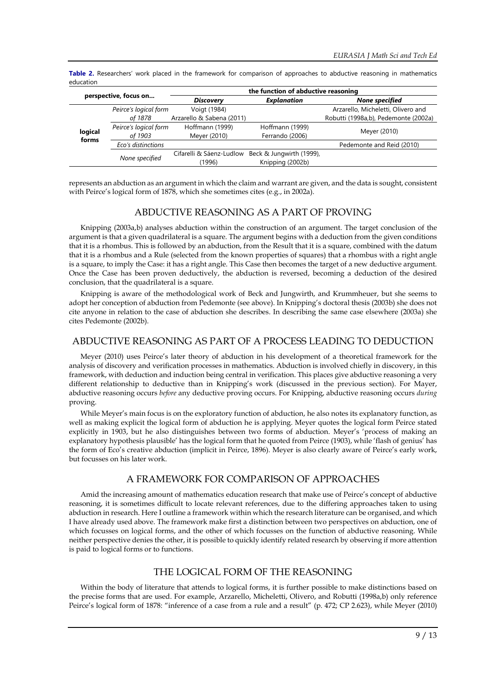**Table 2.** Researchers' work placed in the framework for comparison of approaches to abductive reasoning in mathematics education

| perspective, focus on |                       | the function of abductive reasoning |                          |                                      |  |
|-----------------------|-----------------------|-------------------------------------|--------------------------|--------------------------------------|--|
|                       |                       | <b>Discovery</b>                    | Explanation              | <b>None specified</b>                |  |
| logical<br>forms      | Peirce's logical form | Voigt (1984)                        |                          | Arzarello, Micheletti, Olivero and   |  |
|                       | of 1878               | Arzarello & Sabena (2011)           |                          | Robutti (1998a,b), Pedemonte (2002a) |  |
|                       | Peirce's logical form | Hoffmann (1999)                     | Hoffmann (1999)          | Meyer (2010)                         |  |
|                       | of 1903               | Meyer (2010)                        | Ferrando (2006)          |                                      |  |
|                       | Eco's distinctions    |                                     |                          | Pedemonte and Reid (2010)            |  |
|                       | None specified        | Cifarelli & Sáenz-Ludlow            | Beck & Jungwirth (1999), |                                      |  |
|                       |                       | (1996)                              | Knipping (2002b)         |                                      |  |

represents an abduction as an argument in which the claim and warrant are given, and the data is sought, consistent with Peirce's logical form of 1878, which she sometimes cites (e.g., in 2002a).

### ABDUCTIVE REASONING AS A PART OF PROVING

Knipping (2003a,b) analyses abduction within the construction of an argument. The target conclusion of the argument is that a given quadrilateral is a square. The argument begins with a deduction from the given conditions that it is a rhombus. This is followed by an abduction, from the Result that it is a square, combined with the datum that it is a rhombus and a Rule (selected from the known properties of squares) that a rhombus with a right angle is a square, to imply the Case: it has a right angle. This Case then becomes the target of a new deductive argument. Once the Case has been proven deductively, the abduction is reversed, becoming a deduction of the desired conclusion, that the quadrilateral is a square.

Knipping is aware of the methodological work of Beck and Jungwirth, and Krummheuer, but she seems to adopt her conception of abduction from Pedemonte (see above). In Knipping's doctoral thesis (2003b) she does not cite anyone in relation to the case of abduction she describes. In describing the same case elsewhere (2003a) she cites Pedemonte (2002b).

### ABDUCTIVE REASONING AS PART OF A PROCESS LEADING TO DEDUCTION

Meyer (2010) uses Peirce's later theory of abduction in his development of a theoretical framework for the analysis of discovery and verification processes in mathematics. Abduction is involved chiefly in discovery, in this framework, with deduction and induction being central in verification. This places give abductive reasoning a very different relationship to deductive than in Knipping's work (discussed in the previous section). For Mayer, abductive reasoning occurs *before* any deductive proving occurs. For Knipping, abductive reasoning occurs *during* proving.

While Meyer's main focus is on the exploratory function of abduction, he also notes its explanatory function, as well as making explicit the logical form of abduction he is applying. Meyer quotes the logical form Peirce stated explicitly in 1903, but he also distinguishes between two forms of abduction. Meyer's 'process of making an explanatory hypothesis plausible' has the logical form that he quoted from Peirce (1903), while 'flash of genius' has the form of Eco's creative abduction (implicit in Peirce, 1896). Meyer is also clearly aware of Peirce's early work, but focusses on his later work.

### A FRAMEWORK FOR COMPARISON OF APPROACHES

Amid the increasing amount of mathematics education research that make use of Peirce's concept of abductive reasoning, it is sometimes difficult to locate relevant references, due to the differing approaches taken to using abduction in research. Here I outline a framework within which the research literature can be organised, and which I have already used above. The framework make first a distinction between two perspectives on abduction, one of which focusses on logical forms, and the other of which focusses on the function of abductive reasoning. While neither perspective denies the other, it is possible to quickly identify related research by observing if more attention is paid to logical forms or to functions.

### THE LOGICAL FORM OF THE REASONING

Within the body of literature that attends to logical forms, it is further possible to make distinctions based on the precise forms that are used. For example, Arzarello, Micheletti, Olivero, and Robutti (1998a,b) only reference Peirce's logical form of 1878: "inference of a case from a rule and a result" (p. 472; CP 2.623), while Meyer (2010)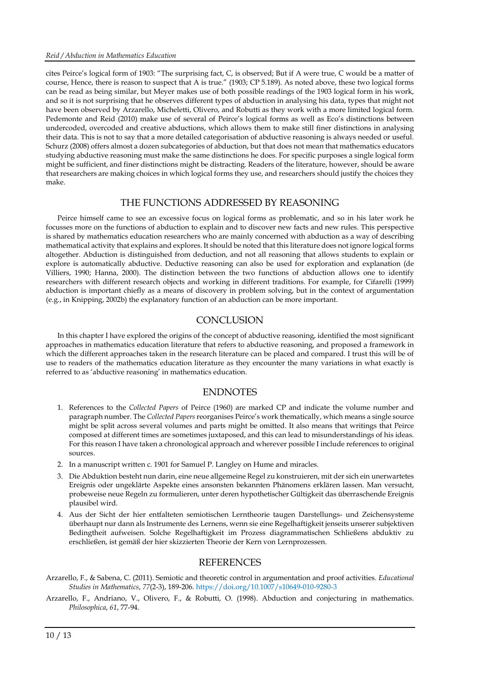cites Peirce's logical form of 1903: "The surprising fact, C, is observed; But if A were true, C would be a matter of course, Hence, there is reason to suspect that A is true." (1903; CP 5.189). As noted above, these two logical forms can be read as being similar, but Meyer makes use of both possible readings of the 1903 logical form in his work, and so it is not surprising that he observes different types of abduction in analysing his data, types that might not have been observed by Arzarello, Micheletti, Olivero, and Robutti as they work with a more limited logical form. Pedemonte and Reid (2010) make use of several of Peirce's logical forms as well as Eco's distinctions between undercoded, overcoded and creative abductions, which allows them to make still finer distinctions in analysing their data. This is not to say that a more detailed categorisation of abductive reasoning is always needed or useful. Schurz (2008) offers almost a dozen subcategories of abduction, but that does not mean that mathematics educators studying abductive reasoning must make the same distinctions he does. For specific purposes a single logical form might be sufficient, and finer distinctions might be distracting. Readers of the literature, however, should be aware that researchers are making choices in which logical forms they use, and researchers should justify the choices they make.

#### THE FUNCTIONS ADDRESSED BY REASONING

Peirce himself came to see an excessive focus on logical forms as problematic, and so in his later work he focusses more on the functions of abduction to explain and to discover new facts and new rules. This perspective is shared by mathematics education researchers who are mainly concerned with abduction as a way of describing mathematical activity that explains and explores. It should be noted that this literature does not ignore logical forms altogether. Abduction is distinguished from deduction, and not all reasoning that allows students to explain or explore is automatically abductive. Deductive reasoning can also be used for exploration and explanation (de Villiers, 1990; Hanna, 2000). The distinction between the two functions of abduction allows one to identify researchers with different research objects and working in different traditions. For example, for Cifarelli (1999) abduction is important chiefly as a means of discovery in problem solving, but in the context of argumentation (e.g., in Knipping, 2002b) the explanatory function of an abduction can be more important.

### **CONCLUSION**

In this chapter I have explored the origins of the concept of abductive reasoning, identified the most significant approaches in mathematics education literature that refers to abductive reasoning, and proposed a framework in which the different approaches taken in the research literature can be placed and compared. I trust this will be of use to readers of the mathematics education literature as they encounter the many variations in what exactly is referred to as 'abductive reasoning' in mathematics education.

#### **ENDNOTES**

- 1. References to the *Collected Papers* of Peirce (1960) are marked CP and indicate the volume number and paragraph number. The *Collected Papers* reorganises Peirce's work thematically, which means a single source might be split across several volumes and parts might be omitted. It also means that writings that Peirce composed at different times are sometimes juxtaposed, and this can lead to misunderstandings of his ideas. For this reason I have taken a chronological approach and wherever possible I include references to original sources.
- 2. In a manuscript written c. 1901 for Samuel P. Langley on Hume and miracles.
- 3. Die Abduktion besteht nun darin, eine neue allgemeine Regel zu konstruieren, mit der sich ein unerwartetes Ereignis oder ungeklärte Aspekte eines ansonsten bekannten Phänomens erklären lassen. Man versucht, probeweise neue Regeln zu formulieren, unter deren hypothetischer Gültigkeit das überraschende Ereignis plausibel wird.
- 4. Aus der Sicht der hier entfalteten semiotischen Lerntheorie taugen Darstellungs- und Zeichensysteme überhaupt nur dann als Instrumente des Lernens, wenn sie eine Regelhaftigkeit jenseits unserer subjektiven Bedingtheit aufweisen. Solche Regelhaftigkeit im Prozess diagrammatischen Schließens abduktiv zu erschließen, ist gemäß der hier skizzierten Theorie der Kern von Lernprozessen.

#### REFERENCES

- Arzarello, F., & Sabena, C. (2011). Semiotic and theoretic control in argumentation and proof activities. *Educational Studies in Mathematics*, *77*(2-3), 189-206. <https://doi.org/10.1007/s10649-010-9280-3>
- Arzarello, F., Andriano, V., Olivero, F., & Robutti, O. (1998). Abduction and conjecturing in mathematics. *Philosophica*, *61*, 77-94.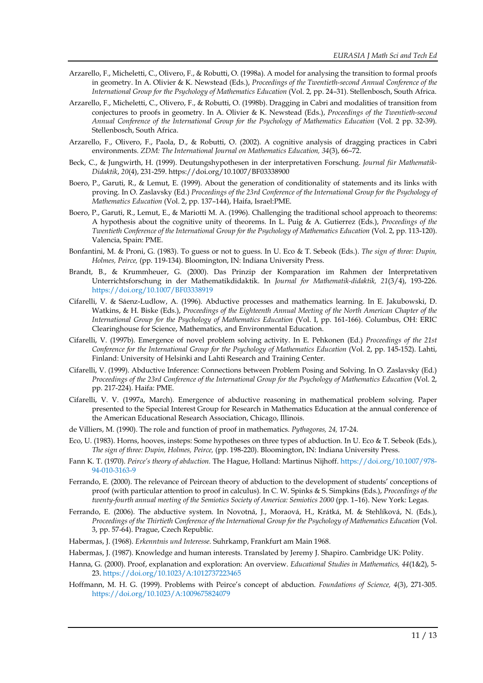- Arzarello, F., Micheletti, C., Olivero, F., & Robutti, O. (1998a). A model for analysing the transition to formal proofs in geometry. In A. Olivier & K. Newstead (Eds.), *Proceedings of the Twentieth-second Annual Conference of the International Group for the Psychology of Mathematics Education (Vol. 2, pp. 24-31). Stellenbosch, South Africa.*
- Arzarello, F., Micheletti, C., Olivero, F., & Robutti, O. (1998b). Dragging in Cabri and modalities of transition from conjectures to proofs in geometry. In A. Olivier & K. Newstead (Eds.), *Proceedings of the Twentieth-second Annual Conference of the International Group for the Psychology of Mathematics Education* (Vol. 2 pp. 32-39). Stellenbosch, South Africa.
- Arzarello, F., Olivero, F., Paola, D., & Robutti, O. (2002). A cognitive analysis of dragging practices in Cabri environments. *ZDM: The International Journal on Mathematics Education, 34*(3), 66–72.
- Beck, C., & Jungwirth, H. (1999). Deutungshypothesen in der interpretativen Forschung. *Journal für Mathematik-Didaktik*, *20*(4), 231-259. https://doi.org/10.1007/BF03338900
- Boero, P., Garuti, R., & Lemut, E. (1999). About the generation of conditionality of statements and its links with proving. In O. Zaslavsky (Ed.) *Proceedings of the 23rd Conference of the International Group for the Psychology of Mathematics Education* (Vol. 2, pp. 137–144), Haifa, Israel:PME.
- Boero, P., Garuti, R., Lemut, E., & Mariotti M. A. (1996). Challenging the traditional school approach to theorems: A hypothesis about the cognitive unity of theorems. In L. Puig & A. Gutierrez (Eds.), *Proceedings of the Twentieth Conference of the International Group for the Psychology of Mathematics Education* (Vol. 2, pp. 113-120). Valencia, Spain: PME.
- Bonfantini, M. & Proni, G. (1983). To guess or not to guess. In U. Eco & T. Sebeok (Eds.). *The sign of three: Dupin, Holmes, Peirce,* (pp. 119-134). Bloomington, IN: Indiana University Press.
- Brandt, B., & Krummheuer, G. (2000). Das Prinzip der Komparation im Rahmen der Interpretativen Unterrichtsforschung in der Mathematikdidaktik. In *Journal for Mathematik-didaktik, 21*(3/4), 193-226. <https://doi.org/10.1007/BF03338919>
- Cifarelli, V. & Sáenz-Ludlow, A. (1996). Abductive processes and mathematics learning. In E. Jakubowski, D. Watkins, & H. Biske (Eds.), *Proceedings of the Eighteenth Annual Meeting of the North American Chapter of the International Group for the Psychology of Mathematics Education* (Vol. I, pp. 161-166). Columbus, OH: ERIC Clearinghouse for Science, Mathematics, and Environmental Education.
- Cifarelli, V. (1997b). Emergence of novel problem solving activity. In E. Pehkonen (Ed.) *Proceedings of the 21st Conference for the International Group for the Psychology of Mathematics Education* (Vol. 2, pp. 145-152). Lahti, Finland: University of Helsinki and Lahti Research and Training Center.
- Cifarelli, V. (1999). Abductive Inference: Connections between Problem Posing and Solving. In O. Zaslavsky (Ed.) *Proceedings of the 23rd Conference of the International Group for the Psychology of Mathematics Education* (Vol. 2, pp. 217-224). Haifa: PME.
- Cifarelli, V. V. (1997a, March). Emergence of abductive reasoning in mathematical problem solving. Paper presented to the Special Interest Group for Research in Mathematics Education at the annual conference of the American Educational Research Association, Chicago, Illinois.
- de Villiers, M. (1990). The role and function of proof in mathematics. *Pythagoras, 24,* 17-24.
- Eco, U. (1983). Horns, hooves, insteps: Some hypotheses on three types of abduction. In U. Eco & T. Sebeok (Eds.), *The sign of three: Dupin, Holmes, Peirce,* (pp. 198-220). Bloomington, IN: Indiana University Press.
- Fann K. T. (1970). *Peirce's theory of abduction.* The Hague, Holland: Martinus Nijhoff. [https://doi.org/10.1007/978-](https://doi.org/10.1007/978-94-010-3163-9) [94-010-3163-9](https://doi.org/10.1007/978-94-010-3163-9)
- Ferrando, E. (2000). The relevance of Peircean theory of abduction to the development of students' conceptions of proof (with particular attention to proof in calculus). In C. W. Spinks & S. Simpkins (Eds.), *Proceedings of the twenty-fourth annual meeting of the Semiotics Society of America: Semiotics 2000* (pp. 1–16). New York: Legas.
- Ferrando, E. (2006). The abductive system. In Novotná, J., Moraová, H., Krátká, M. & Stehlíková, N. (Eds.), *Proceedings of the Thirtieth Conference of the International Group for the Psychology of Mathematics Education* (Vol. 3, pp. 57-64). Prague, Czech Republic.
- Habermas, J. (1968). *Erkenntnis und Interesse.* Suhrkamp, Frankfurt am Main 1968.
- Habermas, J. (1987). Knowledge and human interests. Translated by Jeremy J. Shapiro. Cambridge UK: Polity.
- Hanna, G. (2000). Proof, explanation and exploration: An overview. *Educational Studies in Mathematics, 44*(1&2), 5- 23. <https://doi.org/10.1023/A:1012737223465>
- Hoffmann, M. H. G. (1999). Problems with Peirce's concept of abduction. *Foundations of Science, 4*(3), 271-305. <https://doi.org/10.1023/A:1009675824079>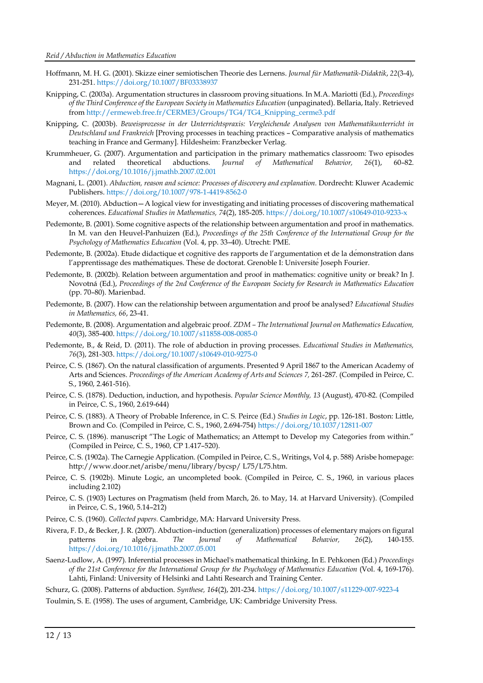- Hoffmann, M. H. G. (2001). Skizze einer semiotischen Theorie des Lernens. *Journal für Mathematik-Didaktik*, *22*(3-4), 231-251. <https://doi.org/10.1007/BF03338937>
- Knipping, C. (2003a). Argumentation structures in classroom proving situations. In M.A. Mariotti (Ed.), *Proceedings of the Third Conference of the European Society in Mathematics Education* (unpaginated). Bellaria, Italy. Retrieved fro[m http://ermeweb.free.fr/CERME3/Groups/TG4/TG4\\_Knipping\\_cerme3.pdf](http://ermeweb.free.fr/CERME3/Groups/TG4/TG4_Knipping_cerme3.pdf)
- Knipping, C. (2003b). *Beweisprozesse in der Unterrichtspraxis: Vergleichende Analysen von Mathematikunterricht in Deutschland und Frankreich* [Proving processes in teaching practices – Comparative analysis of mathematics teaching in France and Germany]. Hildesheim: Franzbecker Verlag.
- Krummheuer, G. (2007). Argumentation and participation in the primary mathematics classroom: Two episodes and related theoretical abductions. *Journal of Mathematical Behavior, 26*(1), 60–82. <https://doi.org/10.1016/j.jmathb.2007.02.001>
- Magnani, L. (2001). *Abduction, reason and science: Processes of discovery and explanation.* Dordrecht: Kluwer Academic Publishers. <https://doi.org/10.1007/978-1-4419-8562-0>
- Meyer, M. (2010). Abduction—A logical view for investigating and initiating processes of discovering mathematical coherences. *Educational Studies in Mathematics, 74*(2), 185-205. <https://doi.org/10.1007/s10649-010-9233-x>
- Pedemonte, B. (2001). Some cognitive aspects of the relationship between argumentation and proof in mathematics. In M. van den Heuvel-Panhuizen (Ed.), *Proceedings of the 25th Conference of the International Group for the Psychology of Mathematics Education* (Vol. 4, pp. 33–40). Utrecht: PME.
- Pedemonte, B. (2002a). Etude didactique et cognitive des rapports de l'argumentation et de la démonstration dans l'apprentissage des mathématiques. Thèse de doctorat. Grenoble I: UniversitéJoseph Fourier.
- Pedemonte, B. (2002b). Relation between argumentation and proof in mathematics: cognitive unity or break? In J. Novotná (Ed.), *Proceedings of the 2nd Conference of the European Society for Research in Mathematics Education* (pp. 70–80). Marienbad.
- Pedemonte, B. (2007). How can the relationship between argumentation and proof be analysed? *Educational Studies in Mathematics, 66*, 23-41.
- Pedemonte, B. (2008). Argumentation and algebraic proof. *ZDM – The International Journal on Mathematics Education, 40*(3), 385-400. <https://doi.org/10.1007/s11858-008-0085-0>
- Pedemonte, B., & Reid, D. (2011). The role of abduction in proving processes. *Educational Studies in Mathematics, 76*(3), 281-303. <https://doi.org/10.1007/s10649-010-9275-0>
- Peirce, C. S. (1867). On the natural classification of arguments. Presented 9 April 1867 to the American Academy of Arts and Sciences. *Proceedings of the American Academy of Arts and Sciences 7,* 261-287. (Compiled in Peirce, C. S., 1960, 2.461-516).
- Peirce, C. S. (1878). Deduction, induction, and hypothesis. *Popular Science Monthly, 13* (August), 470-82. (Compiled in Peirce, C. S., 1960, 2.619-644)
- Peirce, C. S. (1883). A Theory of Probable Inference, in C. S. Peirce (Ed.) *Studies in Logic*, pp. 126-181. Boston: Little, Brown and Co. (Compiled in Peirce, C. S., 1960, 2.694-754) <https://doi.org/10.1037/12811-007>
- Peirce, C. S. (1896). manuscript "The Logic of Mathematics; an Attempt to Develop my Categories from within." (Compiled in Peirce, C. S., 1960, CP 1.417–520).
- Peirce, C. S. (1902a). The Carnegie Application. (Compiled in Peirce, C. S., Writings, Vol 4, p. 588) Arisbe homepage: http://www.door.net/arisbe/menu/library/bycsp/ L75/L75.htm.
- Peirce, C. S. (1902b). Minute Logic, an uncompleted book. (Compiled in Peirce, C. S., 1960, in various places including 2.102)
- Peirce, C. S. (1903) Lectures on Pragmatism (held from March, 26. to May, 14. at Harvard University). (Compiled in Peirce, C. S., 1960, 5.14–212)
- Peirce, C. S. (1960). *Collected papers.* Cambridge, MA: Harvard University Press.
- Rivera, F. D., & Becker, J. R. (2007). Abduction–induction (generalization) processes of elementary majors on figural patterns in algebra. *The Journal of Mathematical Behavior, 26*(2), 140-155. <https://doi.org/10.1016/j.jmathb.2007.05.001>
- Saenz-Ludlow, A. (1997). Inferential processes in Michael's mathematical thinking. In E. Pehkonen (Ed.) *Proceedings of the 21st Conference for the International Group for the Psychology of Mathematics Education* (Vol. 4, 169-176). Lahti, Finland: University of Helsinki and Lahti Research and Training Center.

Schurz, G. (2008). Patterns of abduction. *Synthese, 164*(2), 201-234. <https://doi.org/10.1007/s11229-007-9223-4>

Toulmin, S. E. (1958). The uses of argument, Cambridge, UK: Cambridge University Press.